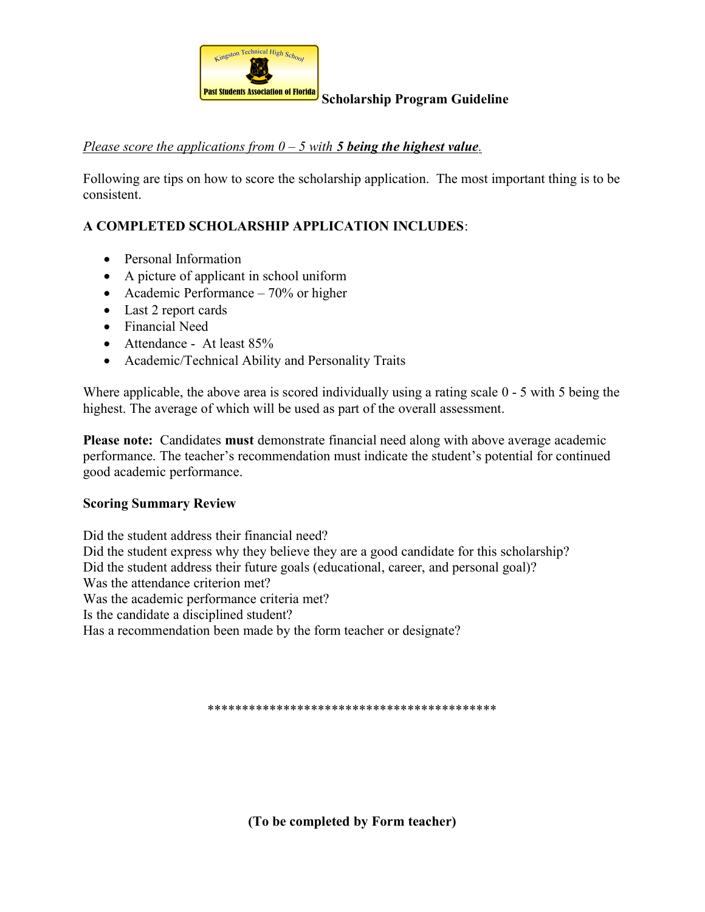

## Scholarship Program Guideline

## Please score the applications from  $0 - 5$  with **5 being the highest value**.

Following are tips on how to score the scholarship application. The most important thing is to be consistent.

## A COMPLETED SCHOLARSHIP APPLICATION INCLUDES:

- Personal Information
- A picture of applicant in school uniform
- Academic Performance 70% or higher
- Last 2 report cards
- Financial Need
- Attendance At least 85%
- Academic/Technical Ability and Personality Traits

Where applicable, the above area is scored individually using a rating scale  $0 - 5$  with 5 being the highest. The average of which will be used as part of the overall assessment.

Please note: Candidates must demonstrate financial need along with above average academic performance. The teacher's recommendation must indicate the student's potential for continued good academic performance.

#### Scoring Summary Review

Did the student address their financial need? Did the student express why they believe they are a good candidate for this scholarship? Did the student address their future goals (educational, career, and personal goal)? Was the attendance criterion met? Was the academic performance criteria met? Is the candidate a disciplined student? Has a recommendation been made by the form teacher or designate?

\*\*\*\*\*\*\*\*\*\*\*\*\*\*\*\*\*\*\*\*\*\*\*\*\*\*\*\*\*\*\*\*\*\*\*\*\*\*\*\*\*\*

(To be completed by Form teacher)